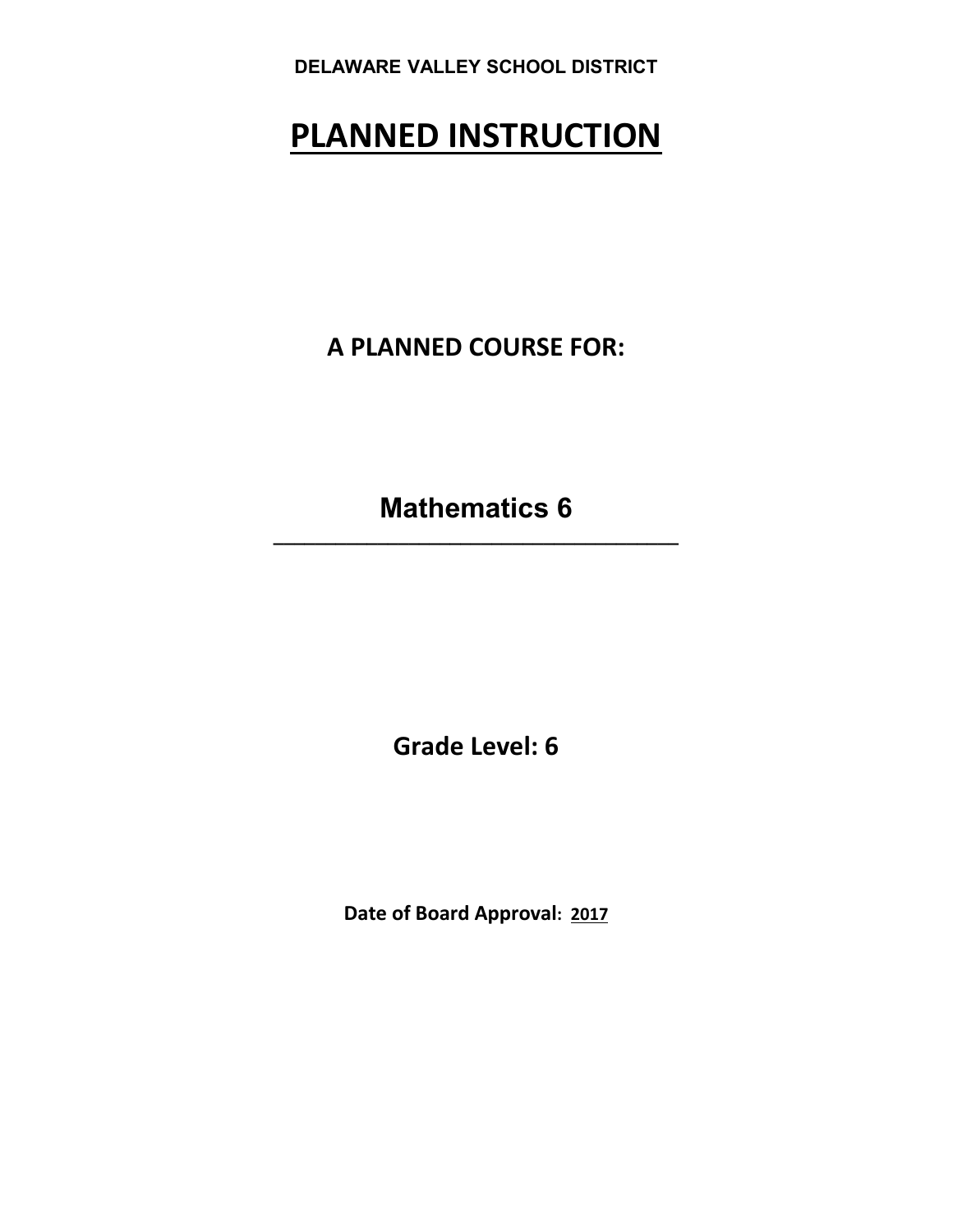# **PLANNED INSTRUCTION**

**A PLANNED COURSE FOR:**

**Mathematics 6 \_\_\_\_\_\_\_\_\_\_\_\_\_\_\_\_\_\_\_\_\_\_\_\_\_\_\_\_\_\_\_\_\_\_\_\_\_\_\_**

**Grade Level: 6** 

**Date of Board Approval: 2017**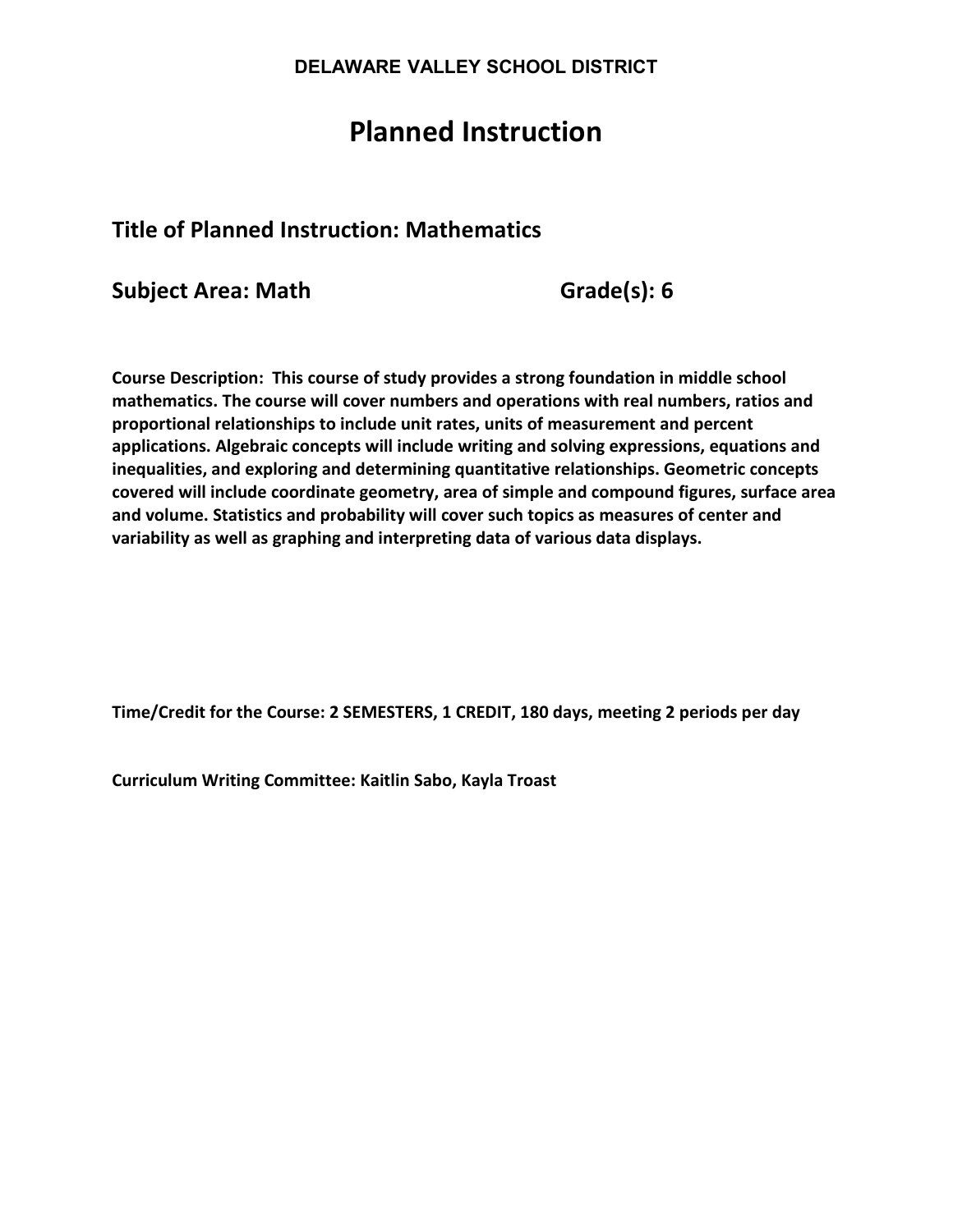# **Planned Instruction**

# **Title of Planned Instruction: Mathematics**

**Subject Area: Math Grade(s): 6** 

**Course Description: This course of study provides a strong foundation in middle school mathematics. The course will cover numbers and operations with real numbers, ratios and proportional relationships to include unit rates, units of measurement and percent applications. Algebraic concepts will include writing and solving expressions, equations and inequalities, and exploring and determining quantitative relationships. Geometric concepts covered will include coordinate geometry, area of simple and compound figures, surface area and volume. Statistics and probability will cover such topics as measures of center and variability as well as graphing and interpreting data of various data displays.** 

**Time/Credit for the Course: 2 SEMESTERS, 1 CREDIT, 180 days, meeting 2 periods per day**

**Curriculum Writing Committee: Kaitlin Sabo, Kayla Troast**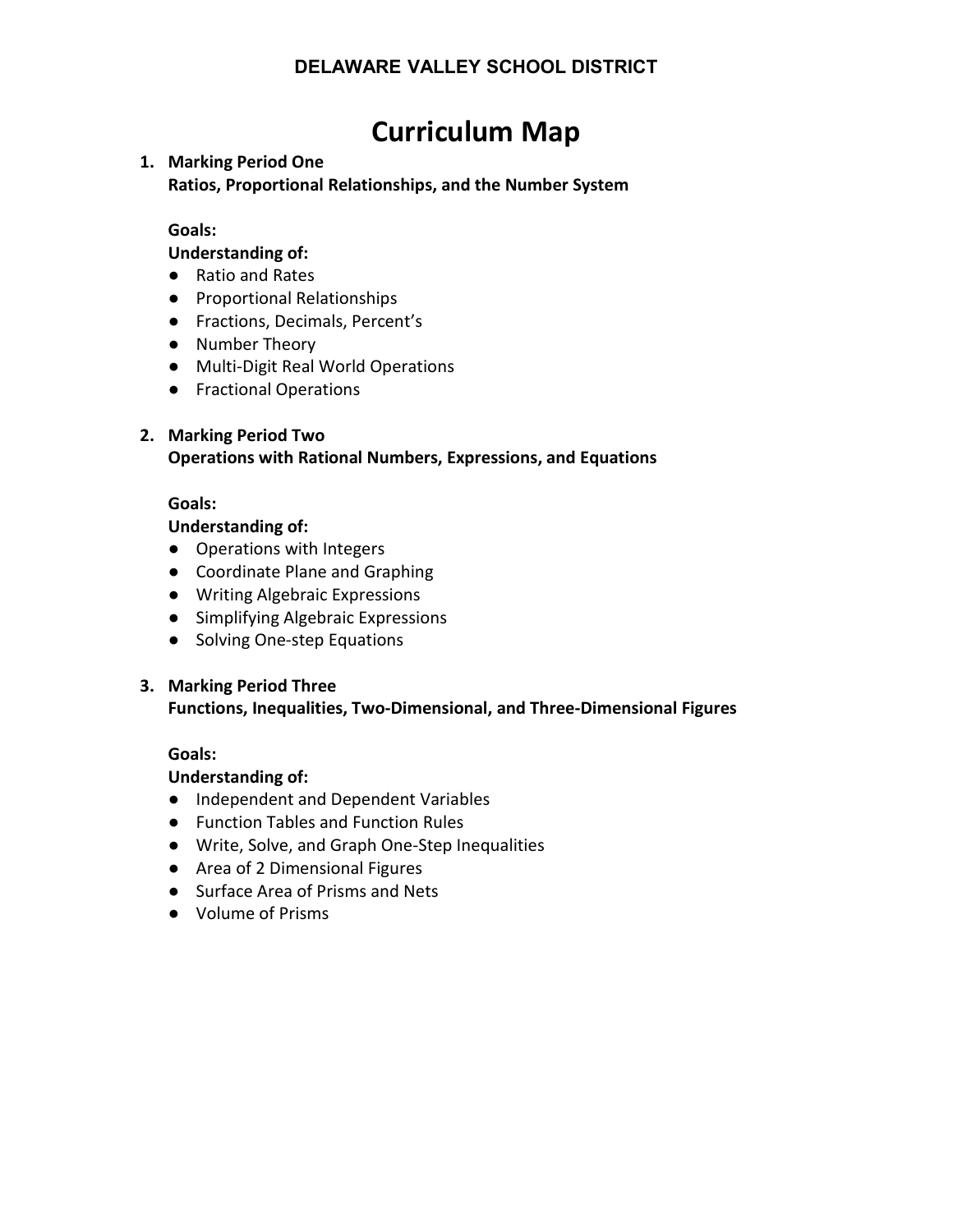# **Curriculum Map**

## **1. Marking Period One**

**Ratios, Proportional Relationships, and the Number System**

### **Goals:**

**Understanding of:** 

- Ratio and Rates
- Proportional Relationships
- Fractions, Decimals, Percent's
- Number Theory
- Multi-Digit Real World Operations
- Fractional Operations

### **2. Marking Period Two**

**Operations with Rational Numbers, Expressions, and Equations**

#### **Goals:**

#### **Understanding of:**

- Operations with Integers
- Coordinate Plane and Graphing
- Writing Algebraic Expressions
- Simplifying Algebraic Expressions
- Solving One-step Equations

#### **3. Marking Period Three**

#### **Functions, Inequalities, Two-Dimensional, and Three-Dimensional Figures**

#### **Goals:**

#### **Understanding of:**

- Independent and Dependent Variables
- Function Tables and Function Rules
- Write, Solve, and Graph One-Step Inequalities
- Area of 2 Dimensional Figures
- Surface Area of Prisms and Nets
- Volume of Prisms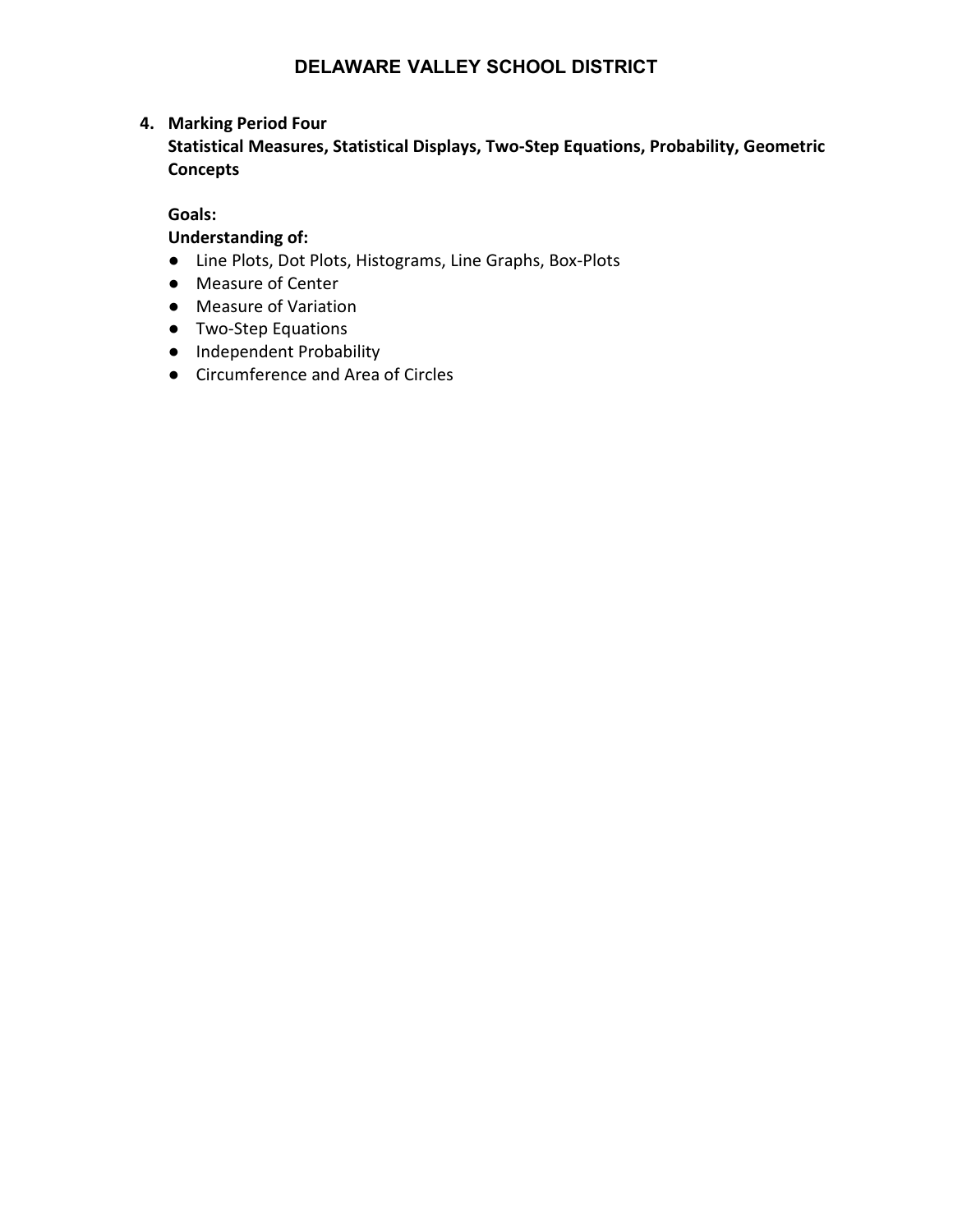## **4. Marking Period Four**

**Statistical Measures, Statistical Displays, Two-Step Equations, Probability, Geometric Concepts**

#### **Goals:**

## **Understanding of:**

- Line Plots, Dot Plots, Histograms, Line Graphs, Box-Plots
- Measure of Center
- Measure of Variation
- Two-Step Equations
- Independent Probability
- Circumference and Area of Circles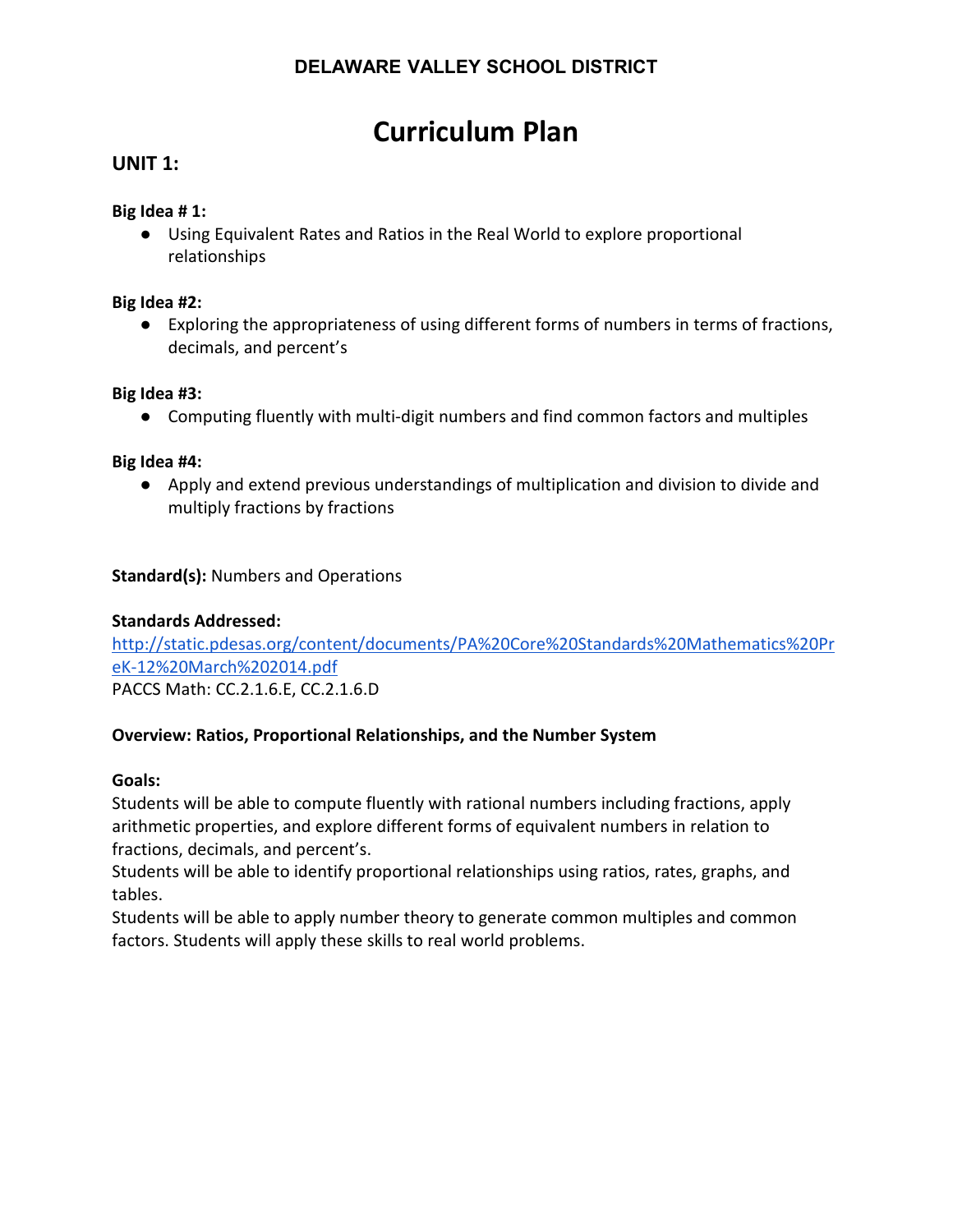# **Curriculum Plan**

# **UNIT 1:**

#### **Big Idea # 1:**

● Using Equivalent Rates and Ratios in the Real World to explore proportional relationships

#### **Big Idea #2:**

● Exploring the appropriateness of using different forms of numbers in terms of fractions, decimals, and percent's

#### **Big Idea #3:**

● Computing fluently with multi-digit numbers and find common factors and multiples

### **Big Idea #4:**

● Apply and extend previous understandings of multiplication and division to divide and multiply fractions by fractions

## **Standard(s):** Numbers and Operations

### **Standards Addressed:**

[http://static.pdesas.org/content/documents/PA%20Core%20Standards%20Mathematics%20Pr](http://static.pdesas.org/content/documents/PA%20Core%20Standards%20Mathematics%20PreK-12%20March%202014.pdf) [eK-12%20March%202014.pdf](http://static.pdesas.org/content/documents/PA%20Core%20Standards%20Mathematics%20PreK-12%20March%202014.pdf)

PACCS Math: CC.2.1.6.E, CC.2.1.6.D

## **Overview: Ratios, Proportional Relationships, and the Number System**

#### **Goals:**

Students will be able to compute fluently with rational numbers including fractions, apply arithmetic properties, and explore different forms of equivalent numbers in relation to fractions, decimals, and percent's.

Students will be able to identify proportional relationships using ratios, rates, graphs, and tables.

Students will be able to apply number theory to generate common multiples and common factors. Students will apply these skills to real world problems.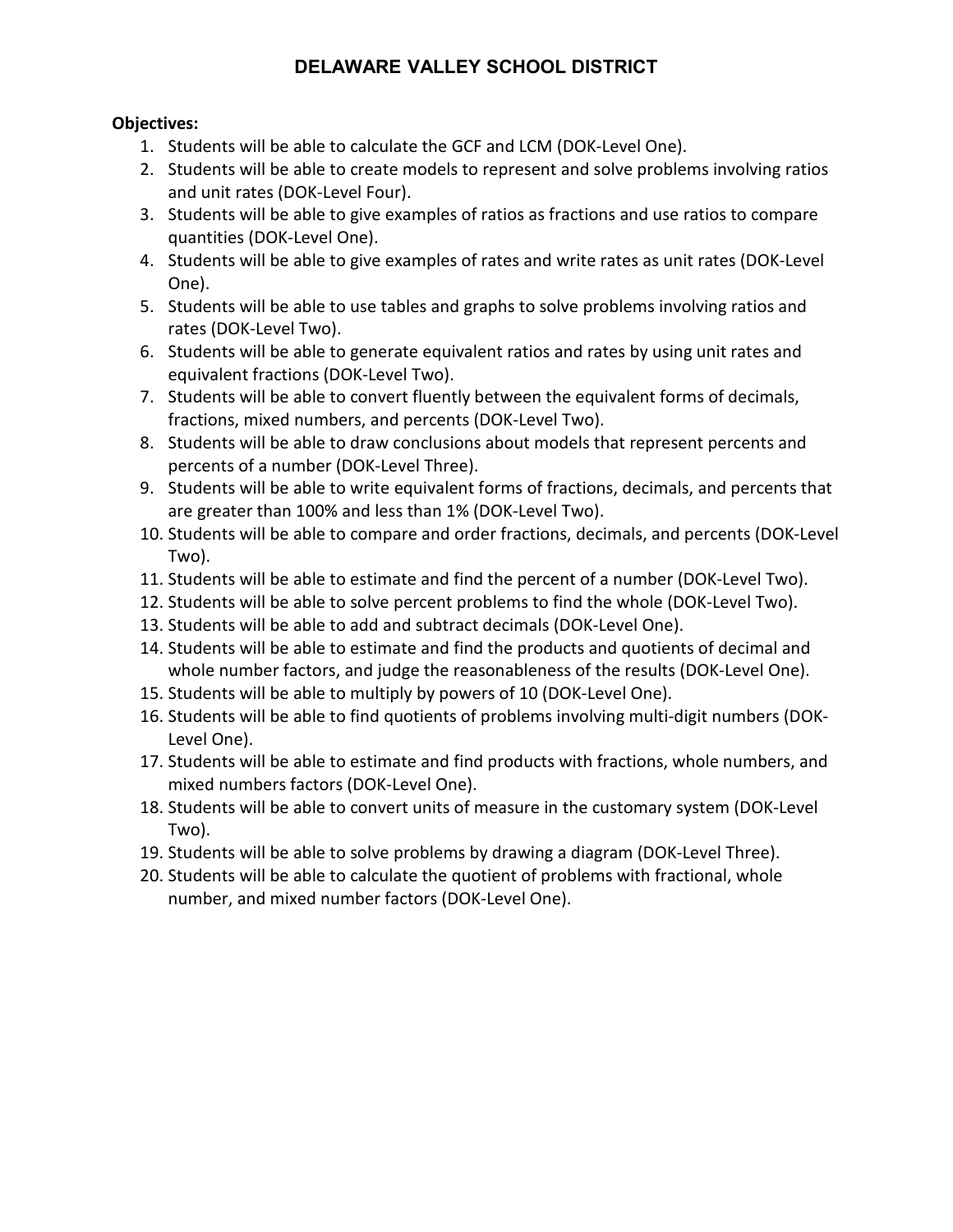- 1. Students will be able to calculate the GCF and LCM (DOK-Level One).
- 2. Students will be able to create models to represent and solve problems involving ratios and unit rates (DOK-Level Four).
- 3. Students will be able to give examples of ratios as fractions and use ratios to compare quantities (DOK-Level One).
- 4. Students will be able to give examples of rates and write rates as unit rates (DOK-Level One).
- 5. Students will be able to use tables and graphs to solve problems involving ratios and rates (DOK-Level Two).
- 6. Students will be able to generate equivalent ratios and rates by using unit rates and equivalent fractions (DOK-Level Two).
- 7. Students will be able to convert fluently between the equivalent forms of decimals, fractions, mixed numbers, and percents (DOK-Level Two).
- 8. Students will be able to draw conclusions about models that represent percents and percents of a number (DOK-Level Three).
- 9. Students will be able to write equivalent forms of fractions, decimals, and percents that are greater than 100% and less than 1% (DOK-Level Two).
- 10. Students will be able to compare and order fractions, decimals, and percents (DOK-Level Two).
- 11. Students will be able to estimate and find the percent of a number (DOK-Level Two).
- 12. Students will be able to solve percent problems to find the whole (DOK-Level Two).
- 13. Students will be able to add and subtract decimals (DOK-Level One).
- 14. Students will be able to estimate and find the products and quotients of decimal and whole number factors, and judge the reasonableness of the results (DOK-Level One).
- 15. Students will be able to multiply by powers of 10 (DOK-Level One).
- 16. Students will be able to find quotients of problems involving multi-digit numbers (DOK-Level One).
- 17. Students will be able to estimate and find products with fractions, whole numbers, and mixed numbers factors (DOK-Level One).
- 18. Students will be able to convert units of measure in the customary system (DOK-Level Two).
- 19. Students will be able to solve problems by drawing a diagram (DOK-Level Three).
- 20. Students will be able to calculate the quotient of problems with fractional, whole number, and mixed number factors (DOK-Level One).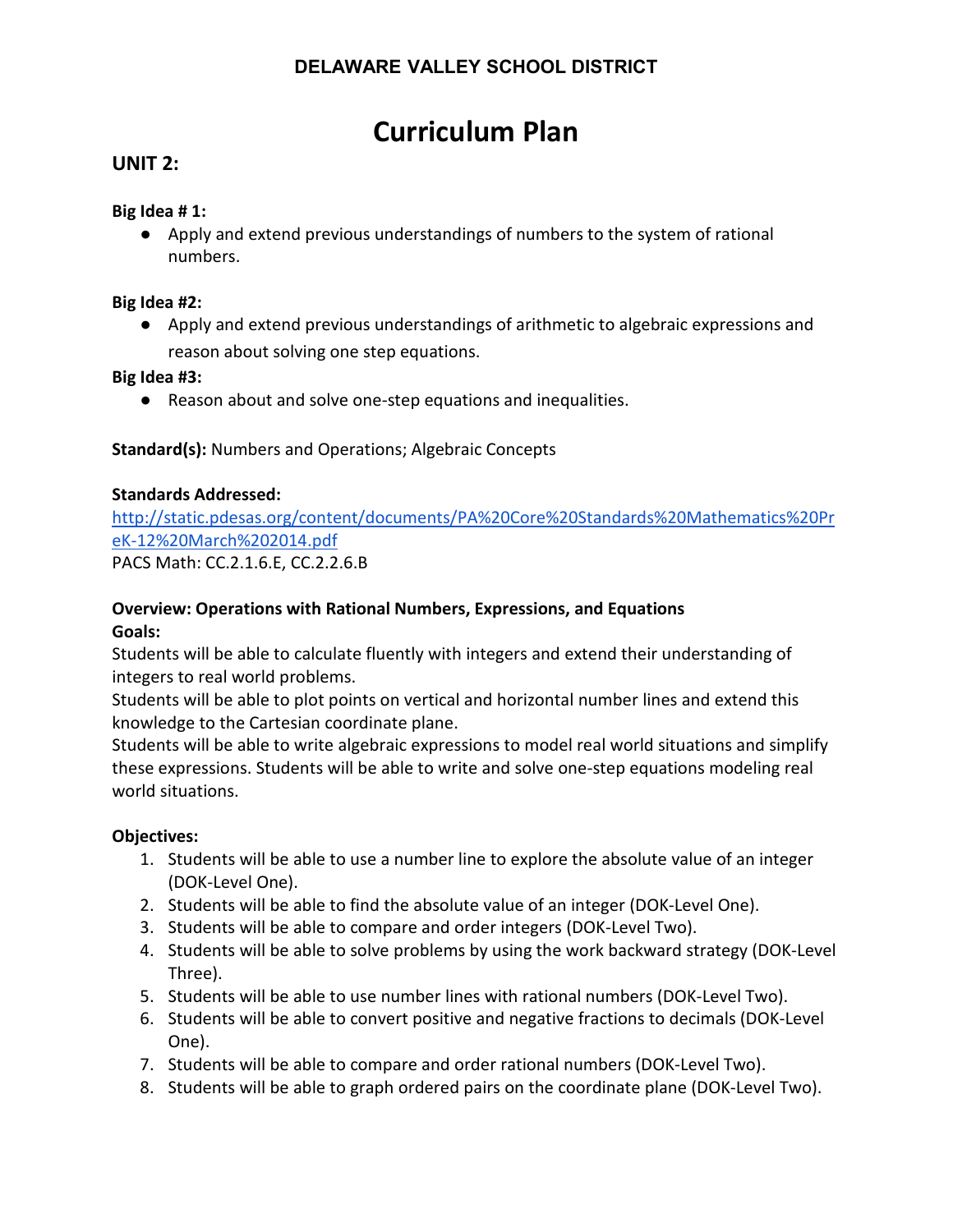# **Curriculum Plan**

# **UNIT 2:**

#### **Big Idea # 1:**

● Apply and extend previous understandings of numbers to the system of rational numbers.

#### **Big Idea #2:**

● Apply and extend previous understandings of arithmetic to algebraic expressions and reason about solving one step equations.

**Big Idea #3:**

● Reason about and solve one-step equations and inequalities.

**Standard(s):** Numbers and Operations; Algebraic Concepts

### **Standards Addressed:**

[http://static.pdesas.org/content/documents/PA%20Core%20Standards%20Mathematics%20Pr](http://static.pdesas.org/content/documents/PA%20Core%20Standards%20Mathematics%20PreK-12%20March%202014.pdf) [eK-12%20March%202014.pdf](http://static.pdesas.org/content/documents/PA%20Core%20Standards%20Mathematics%20PreK-12%20March%202014.pdf)

PACS Math: CC.2.1.6.E, CC.2.2.6.B

# **Overview: Operations with Rational Numbers, Expressions, and Equations Goals:**

Students will be able to calculate fluently with integers and extend their understanding of integers to real world problems.

Students will be able to plot points on vertical and horizontal number lines and extend this knowledge to the Cartesian coordinate plane.

Students will be able to write algebraic expressions to model real world situations and simplify these expressions. Students will be able to write and solve one-step equations modeling real world situations.

- 1. Students will be able to use a number line to explore the absolute value of an integer (DOK-Level One).
- 2. Students will be able to find the absolute value of an integer (DOK-Level One).
- 3. Students will be able to compare and order integers (DOK-Level Two).
- 4. Students will be able to solve problems by using the work backward strategy (DOK-Level Three).
- 5. Students will be able to use number lines with rational numbers (DOK-Level Two).
- 6. Students will be able to convert positive and negative fractions to decimals (DOK-Level One).
- 7. Students will be able to compare and order rational numbers (DOK-Level Two).
- 8. Students will be able to graph ordered pairs on the coordinate plane (DOK-Level Two).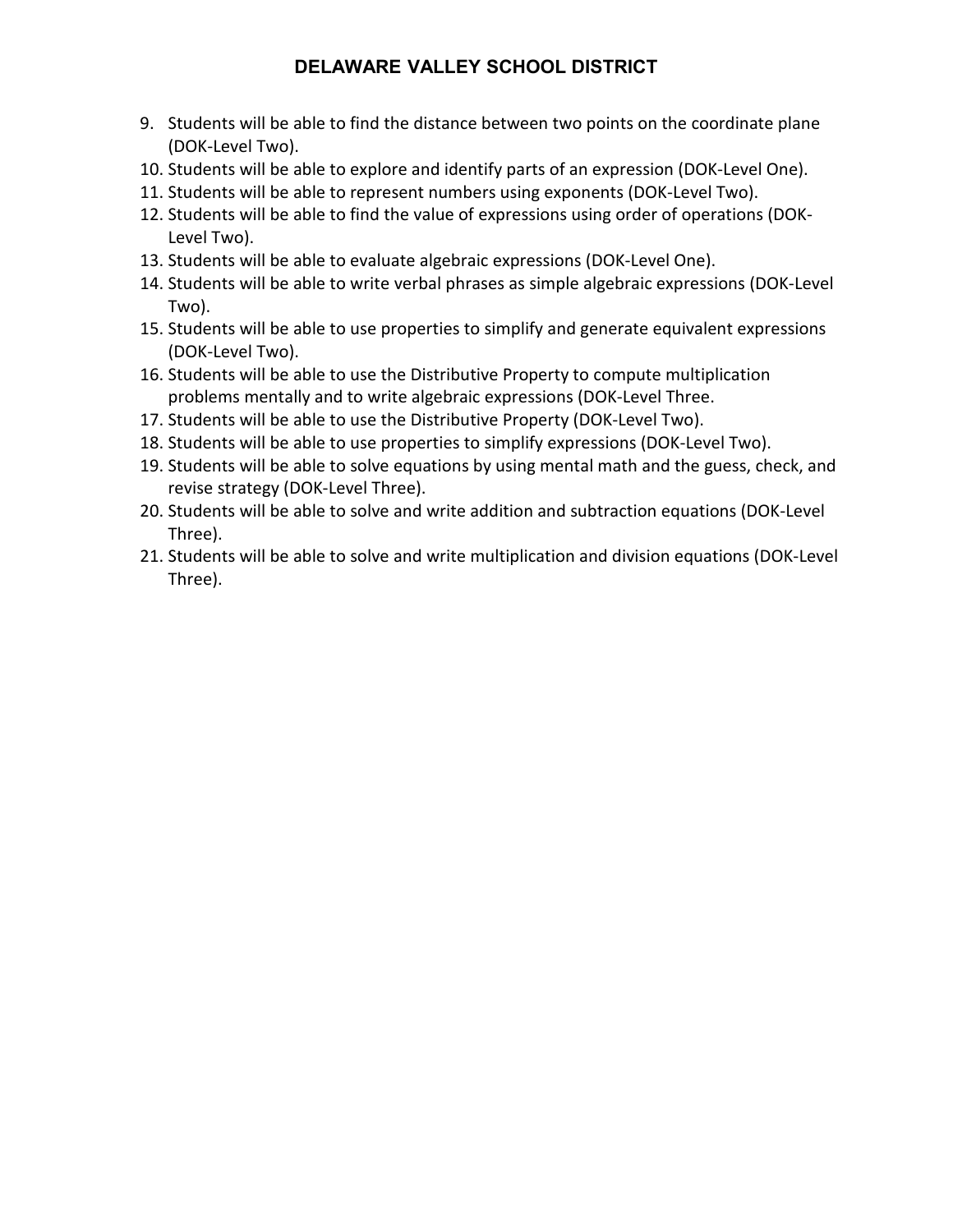- 9. Students will be able to find the distance between two points on the coordinate plane (DOK-Level Two).
- 10. Students will be able to explore and identify parts of an expression (DOK-Level One).
- 11. Students will be able to represent numbers using exponents (DOK-Level Two).
- 12. Students will be able to find the value of expressions using order of operations (DOK-Level Two).
- 13. Students will be able to evaluate algebraic expressions (DOK-Level One).
- 14. Students will be able to write verbal phrases as simple algebraic expressions (DOK-Level Two).
- 15. Students will be able to use properties to simplify and generate equivalent expressions (DOK-Level Two).
- 16. Students will be able to use the Distributive Property to compute multiplication problems mentally and to write algebraic expressions (DOK-Level Three.
- 17. Students will be able to use the Distributive Property (DOK-Level Two).
- 18. Students will be able to use properties to simplify expressions (DOK-Level Two).
- 19. Students will be able to solve equations by using mental math and the guess, check, and revise strategy (DOK-Level Three).
- 20. Students will be able to solve and write addition and subtraction equations (DOK-Level Three).
- 21. Students will be able to solve and write multiplication and division equations (DOK-Level Three).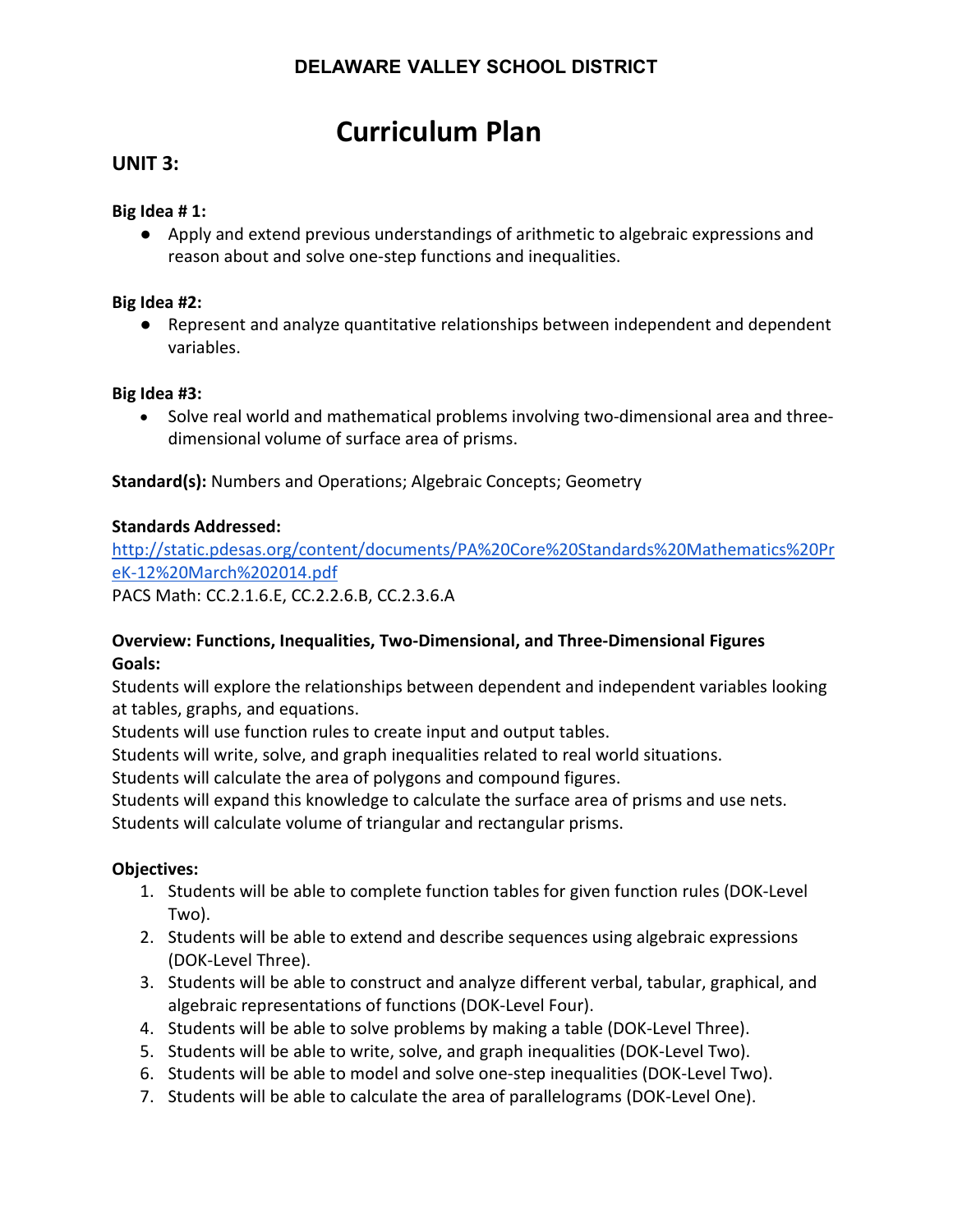# **Curriculum Plan**

# **UNIT 3:**

#### **Big Idea # 1:**

● Apply and extend previous understandings of arithmetic to algebraic expressions and reason about and solve one-step functions and inequalities.

### **Big Idea #2:**

● Represent and analyze quantitative relationships between independent and dependent variables.

#### **Big Idea #3:**

• Solve real world and mathematical problems involving two-dimensional area and threedimensional volume of surface area of prisms.

**Standard(s):** Numbers and Operations; Algebraic Concepts; Geometry

### **Standards Addressed:**

[http://static.pdesas.org/content/documents/PA%20Core%20Standards%20Mathematics%20Pr](http://static.pdesas.org/content/documents/PA%20Core%20Standards%20Mathematics%20PreK-12%20March%202014.pdf) [eK-12%20March%202014.pdf](http://static.pdesas.org/content/documents/PA%20Core%20Standards%20Mathematics%20PreK-12%20March%202014.pdf) PACS Math: CC.2.1.6.E, CC.2.2.6.B, CC.2.3.6.A

## **Overview: Functions, Inequalities, Two-Dimensional, and Three-Dimensional Figures Goals:**

Students will explore the relationships between dependent and independent variables looking at tables, graphs, and equations.

Students will use function rules to create input and output tables.

Students will write, solve, and graph inequalities related to real world situations.

Students will calculate the area of polygons and compound figures.

Students will expand this knowledge to calculate the surface area of prisms and use nets. Students will calculate volume of triangular and rectangular prisms.

- 1. Students will be able to complete function tables for given function rules (DOK-Level Two).
- 2. Students will be able to extend and describe sequences using algebraic expressions (DOK-Level Three).
- 3. Students will be able to construct and analyze different verbal, tabular, graphical, and algebraic representations of functions (DOK-Level Four).
- 4. Students will be able to solve problems by making a table (DOK-Level Three).
- 5. Students will be able to write, solve, and graph inequalities (DOK-Level Two).
- 6. Students will be able to model and solve one-step inequalities (DOK-Level Two).
- 7. Students will be able to calculate the area of parallelograms (DOK-Level One).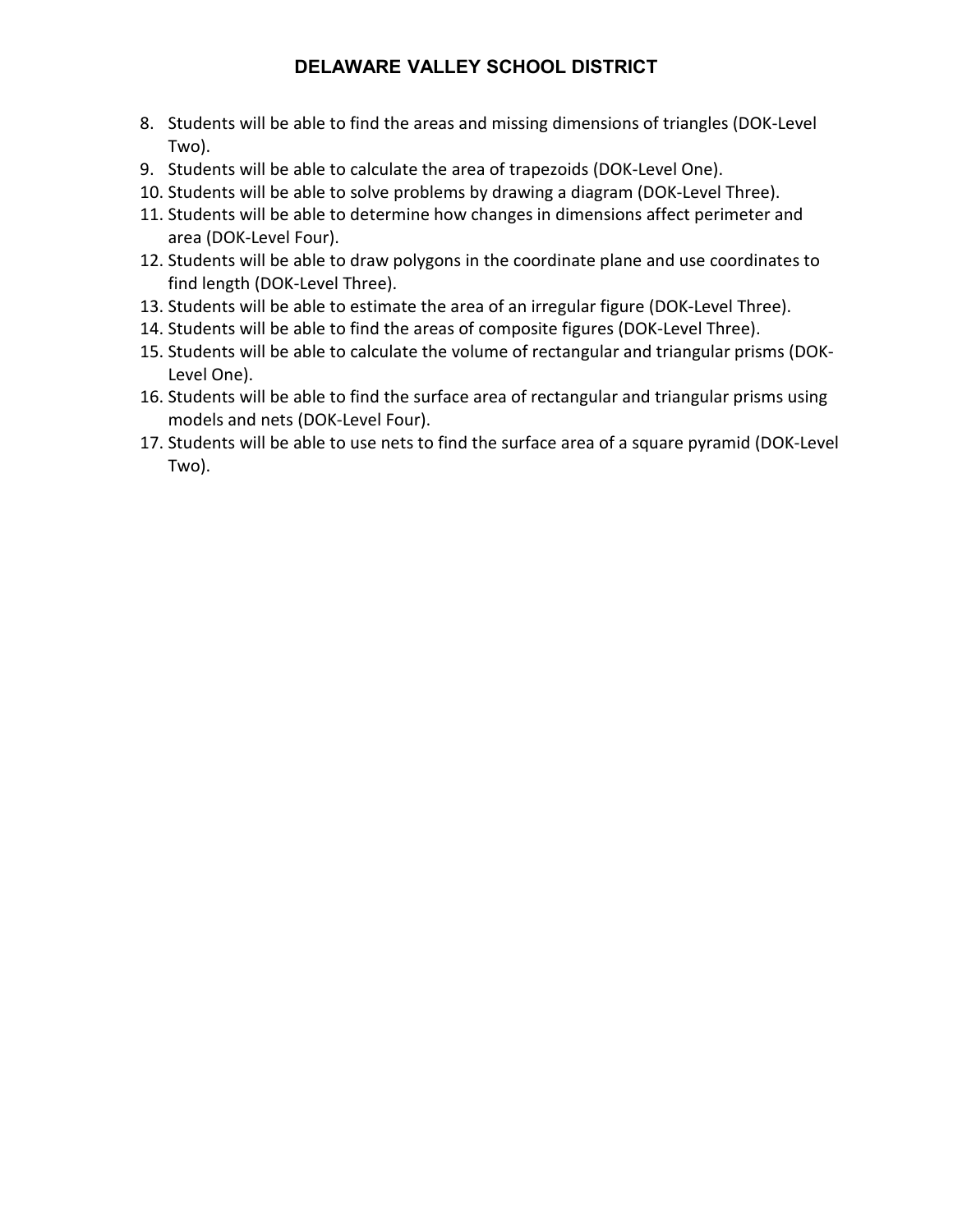- 8. Students will be able to find the areas and missing dimensions of triangles (DOK-Level Two).
- 9. Students will be able to calculate the area of trapezoids (DOK-Level One).
- 10. Students will be able to solve problems by drawing a diagram (DOK-Level Three).
- 11. Students will be able to determine how changes in dimensions affect perimeter and area (DOK-Level Four).
- 12. Students will be able to draw polygons in the coordinate plane and use coordinates to find length (DOK-Level Three).
- 13. Students will be able to estimate the area of an irregular figure (DOK-Level Three).
- 14. Students will be able to find the areas of composite figures (DOK-Level Three).
- 15. Students will be able to calculate the volume of rectangular and triangular prisms (DOK-Level One).
- 16. Students will be able to find the surface area of rectangular and triangular prisms using models and nets (DOK-Level Four).
- 17. Students will be able to use nets to find the surface area of a square pyramid (DOK-Level Two).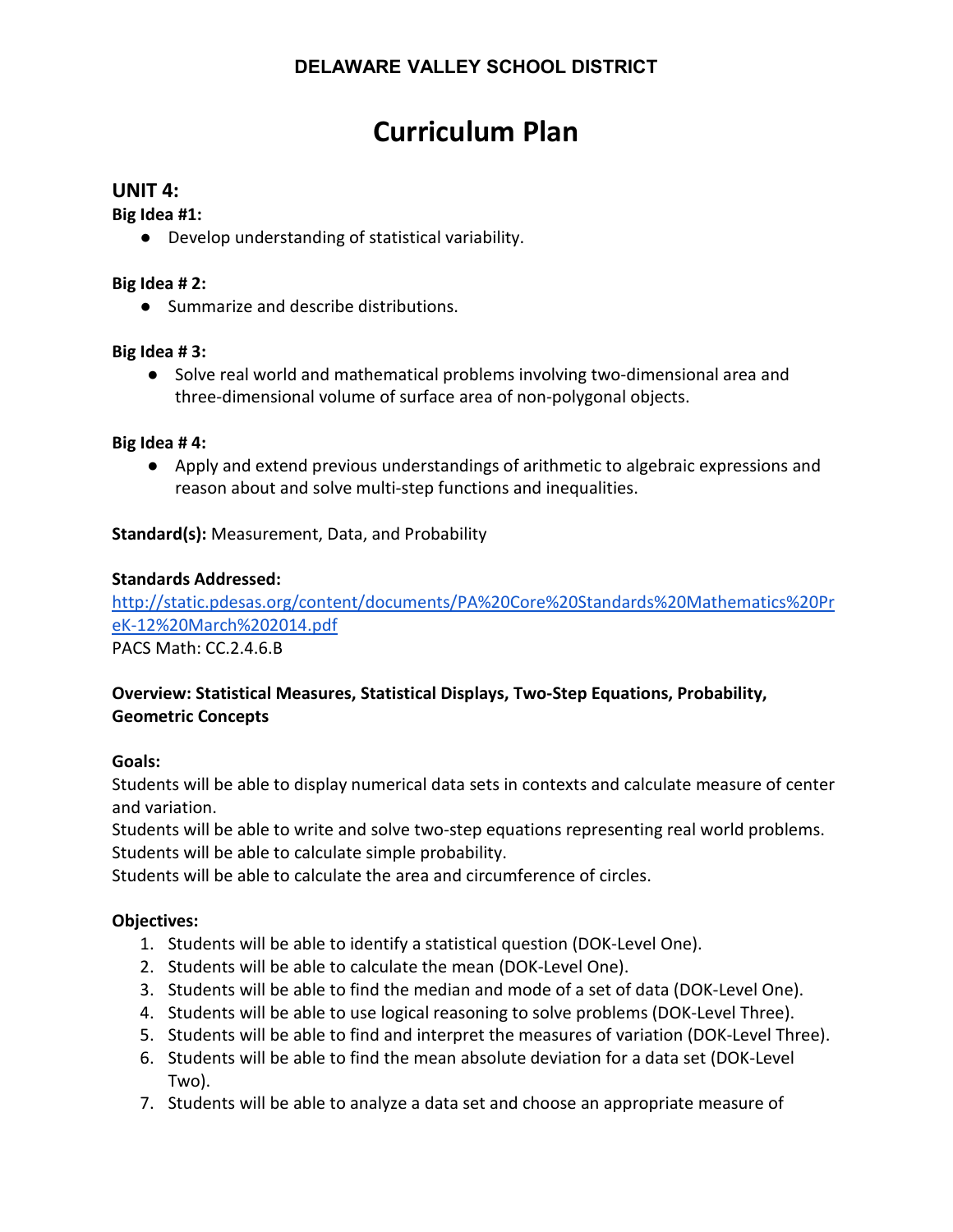# **Curriculum Plan**

## **UNIT 4:**

**Big Idea #1:**

● Develop understanding of statistical variability.

### **Big Idea # 2:**

● Summarize and describe distributions.

### **Big Idea # 3:**

● Solve real world and mathematical problems involving two-dimensional area and three-dimensional volume of surface area of non-polygonal objects.

#### **Big Idea # 4:**

● Apply and extend previous understandings of arithmetic to algebraic expressions and reason about and solve multi-step functions and inequalities.

**Standard(s):** Measurement, Data, and Probability

### **Standards Addressed:**

[http://static.pdesas.org/content/documents/PA%20Core%20Standards%20Mathematics%20Pr](http://static.pdesas.org/content/documents/PA%20Core%20Standards%20Mathematics%20PreK-12%20March%202014.pdf) [eK-12%20March%202014.pdf](http://static.pdesas.org/content/documents/PA%20Core%20Standards%20Mathematics%20PreK-12%20March%202014.pdf)

PACS Math: CC.2.4.6.B

## **Overview: Statistical Measures, Statistical Displays, Two-Step Equations, Probability, Geometric Concepts**

#### **Goals:**

Students will be able to display numerical data sets in contexts and calculate measure of center and variation.

Students will be able to write and solve two-step equations representing real world problems. Students will be able to calculate simple probability.

Students will be able to calculate the area and circumference of circles.

- 1. Students will be able to identify a statistical question (DOK-Level One).
- 2. Students will be able to calculate the mean (DOK-Level One).
- 3. Students will be able to find the median and mode of a set of data (DOK-Level One).
- 4. Students will be able to use logical reasoning to solve problems (DOK-Level Three).
- 5. Students will be able to find and interpret the measures of variation (DOK-Level Three).
- 6. Students will be able to find the mean absolute deviation for a data set (DOK-Level Two).
- 7. Students will be able to analyze a data set and choose an appropriate measure of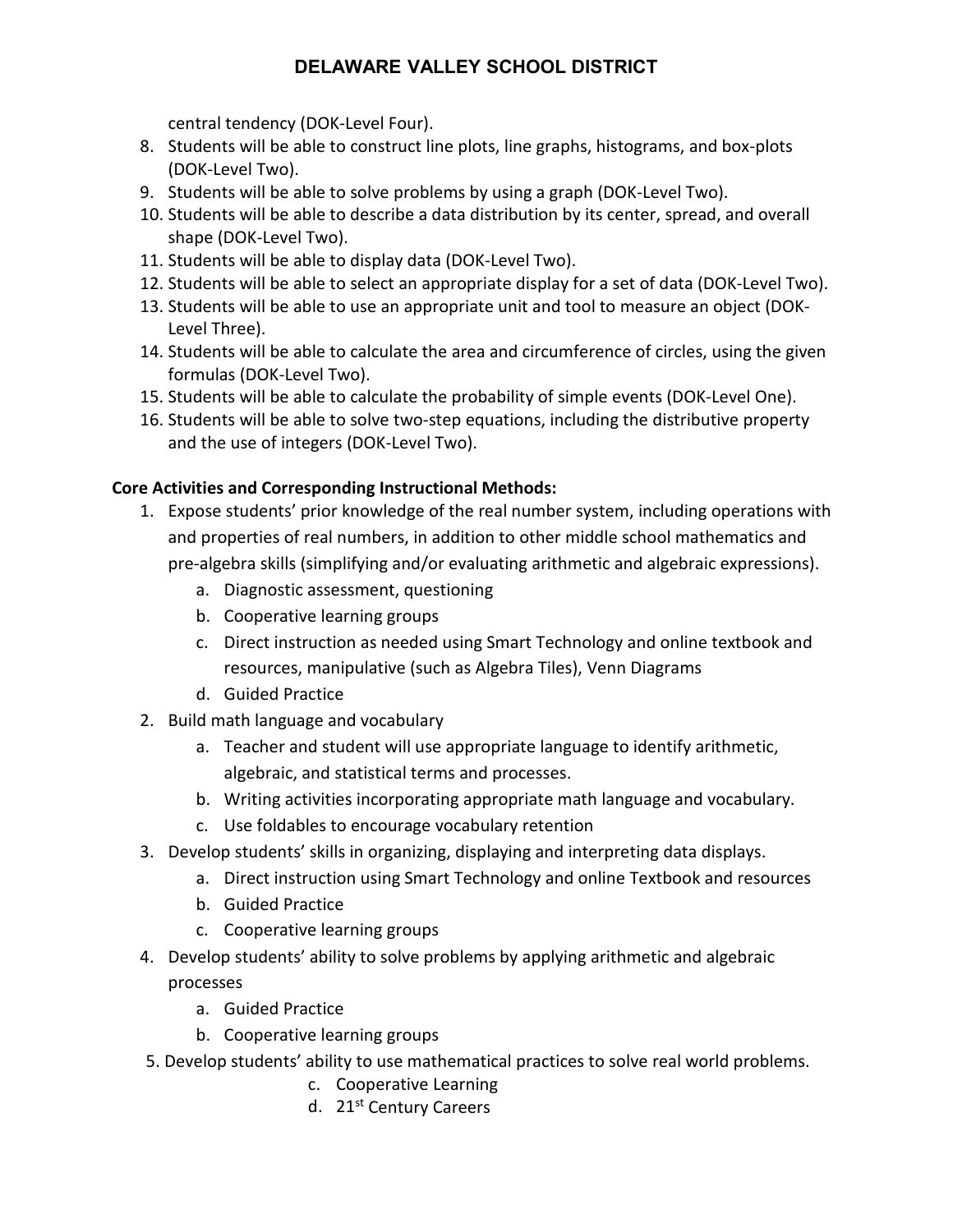central tendency (DOK-Level Four).

- 8. Students will be able to construct line plots, line graphs, histograms, and box-plots (DOK-Level Two).
- 9. Students will be able to solve problems by using a graph (DOK-Level Two).
- 10. Students will be able to describe a data distribution by its center, spread, and overall shape (DOK-Level Two).
- 11. Students will be able to display data (DOK-Level Two).
- 12. Students will be able to select an appropriate display for a set of data (DOK-Level Two).
- 13. Students will be able to use an appropriate unit and tool to measure an object (DOK-Level Three).
- 14. Students will be able to calculate the area and circumference of circles, using the given formulas (DOK-Level Two).
- 15. Students will be able to calculate the probability of simple events (DOK-Level One).
- 16. Students will be able to solve two-step equations, including the distributive property and the use of integers (DOK-Level Two).

# **Core Activities and Corresponding Instructional Methods:**

- 1. Expose students' prior knowledge of the real number system, including operations with and properties of real numbers, in addition to other middle school mathematics and pre-algebra skills (simplifying and/or evaluating arithmetic and algebraic expressions).
	- a. Diagnostic assessment, questioning
	- b. Cooperative learning groups
	- c. Direct instruction as needed using Smart Technology and online textbook and resources, manipulative (such as Algebra Tiles), Venn Diagrams
	- d. Guided Practice
- 2. Build math language and vocabulary
	- a. Teacher and student will use appropriate language to identify arithmetic, algebraic, and statistical terms and processes.
	- b. Writing activities incorporating appropriate math language and vocabulary.
	- c. Use foldables to encourage vocabulary retention
- 3. Develop students' skills in organizing, displaying and interpreting data displays.
	- a. Direct instruction using Smart Technology and online Textbook and resources
	- b. Guided Practice
	- c. Cooperative learning groups
- 4. Develop students' ability to solve problems by applying arithmetic and algebraic processes
	- a. Guided Practice
	- b. Cooperative learning groups
- 5. Develop students' ability to use mathematical practices to solve real world problems.
	- c. Cooperative Learning
	- d. 21<sup>st</sup> Century Careers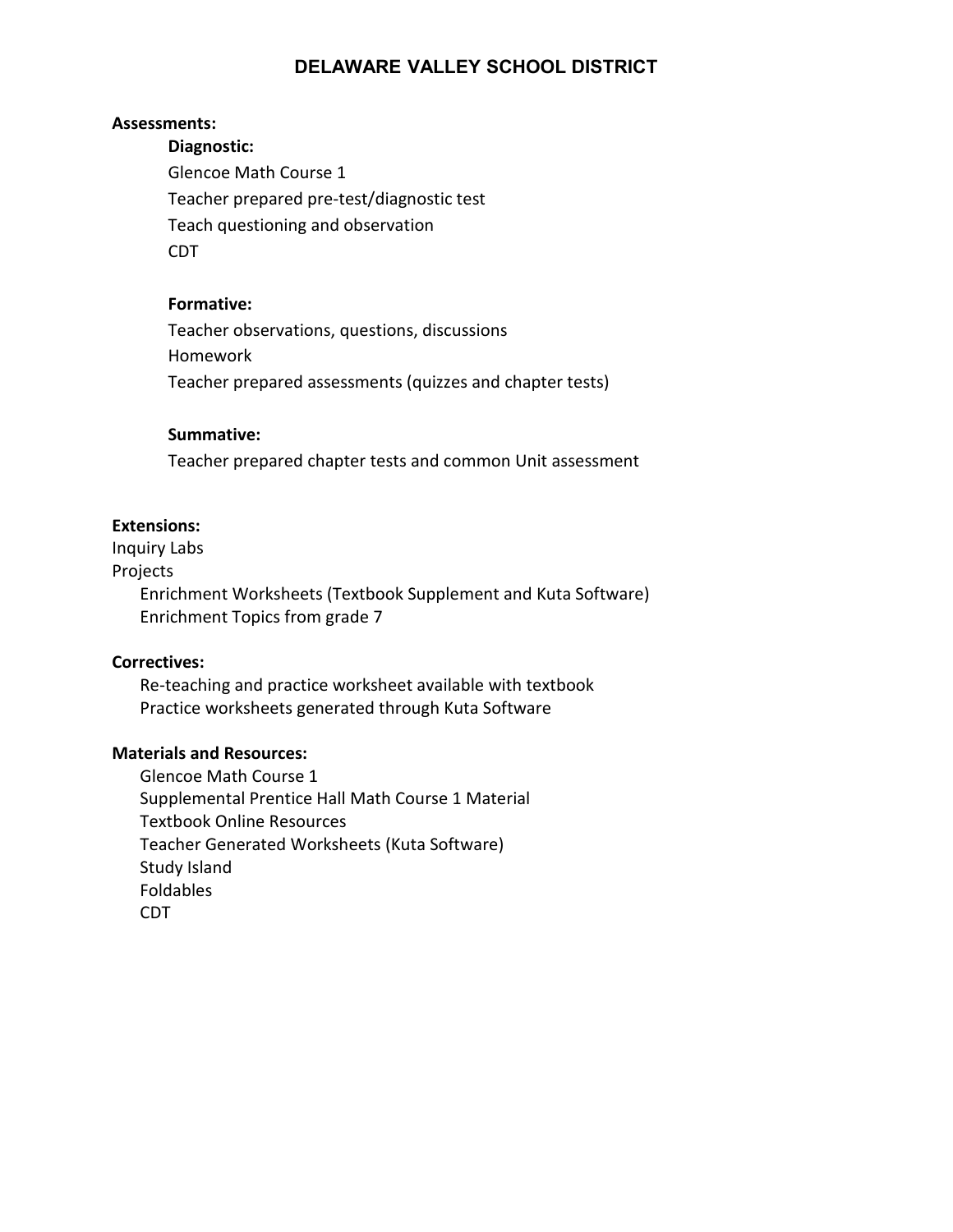#### **Assessments:**

**Diagnostic:** Glencoe Math Course 1 Teacher prepared pre-test/diagnostic test Teach questioning and observation CDT

#### **Formative:**

Teacher observations, questions, discussions Homework Teacher prepared assessments (quizzes and chapter tests)

#### **Summative:**

Teacher prepared chapter tests and common Unit assessment

#### **Extensions:**

Inquiry Labs

Projects

Enrichment Worksheets (Textbook Supplement and Kuta Software) Enrichment Topics from grade 7

#### **Correctives:**

Re-teaching and practice worksheet available with textbook Practice worksheets generated through Kuta Software

#### **Materials and Resources:**

Glencoe Math Course 1 Supplemental Prentice Hall Math Course 1 Material Textbook Online Resources Teacher Generated Worksheets (Kuta Software) Study Island Foldables CDT